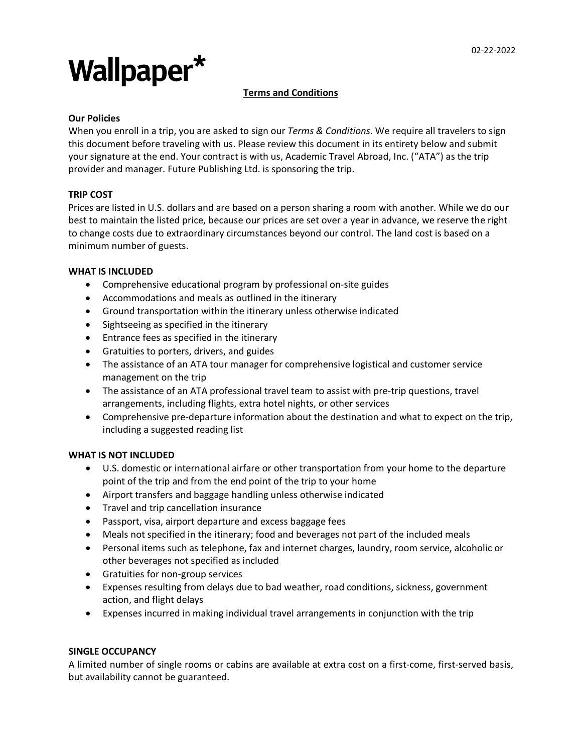# Wallpaper\*

# **Terms and Conditions**

# **Our Policies**

When you enroll in a trip, you are asked to sign our *Terms & Conditions*. We require all travelers to sign this document before traveling with us. Please review this document in its entirety below and submit your signature at the end. Your contract is with us, Academic Travel Abroad, Inc. ("ATA") as the trip provider and manager. Future Publishing Ltd. is sponsoring the trip.

# **TRIP COST**

Prices are listed in U.S. dollars and are based on a person sharing a room with another. While we do our best to maintain the listed price, because our prices are set over a year in advance, we reserve the right to change costs due to extraordinary circumstances beyond our control. The land cost is based on a minimum number of guests.

#### **WHAT IS INCLUDED**

- Comprehensive educational program by professional on-site guides
- Accommodations and meals as outlined in the itinerary
- Ground transportation within the itinerary unless otherwise indicated
- Sightseeing as specified in the itinerary
- Entrance fees as specified in the itinerary
- Gratuities to porters, drivers, and guides
- The assistance of an ATA tour manager for comprehensive logistical and customer service management on the trip
- The assistance of an ATA professional travel team to assist with pre-trip questions, travel arrangements, including flights, extra hotel nights, or other services
- Comprehensive pre-departure information about the destination and what to expect on the trip, including a suggested reading list

# **WHAT IS NOT INCLUDED**

- U.S. domestic or international airfare or other transportation from your home to the departure point of the trip and from the end point of the trip to your home
- Airport transfers and baggage handling unless otherwise indicated
- Travel and trip cancellation insurance
- Passport, visa, airport departure and excess baggage fees
- Meals not specified in the itinerary; food and beverages not part of the included meals
- Personal items such as telephone, fax and internet charges, laundry, room service, alcoholic or other beverages not specified as included
- Gratuities for non-group services
- Expenses resulting from delays due to bad weather, road conditions, sickness, government action, and flight delays
- Expenses incurred in making individual travel arrangements in conjunction with the trip

# **SINGLE OCCUPANCY**

A limited number of single rooms or cabins are available at extra cost on a first-come, first-served basis, but availability cannot be guaranteed.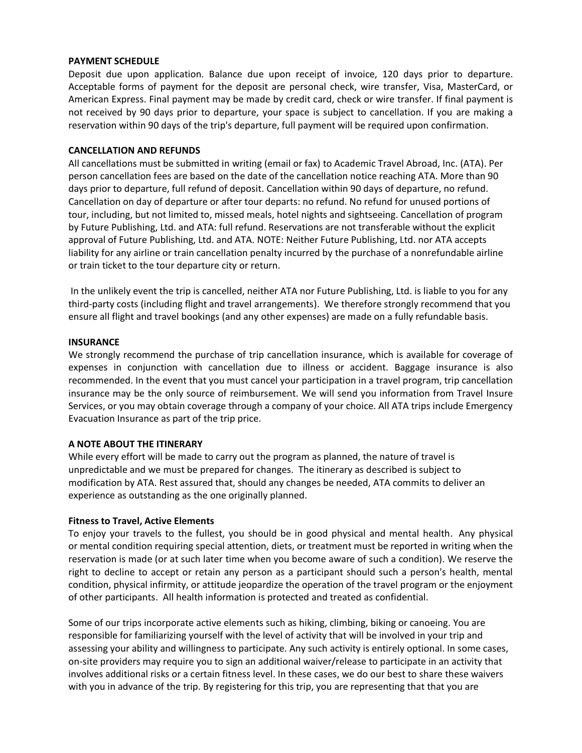#### **PAYMENT SCHEDULE**

Deposit due upon application. Balance due upon receipt of invoice, 120 days prior to departure. Acceptable forms of payment for the deposit are personal check, wire transfer, Visa, MasterCard, or American Express. Final payment may be made by credit card, check or wire transfer. If final payment is not received by 90 days prior to departure, your space is subject to cancellation. If you are making a reservation within 90 days of the trip's departure, full payment will be required upon confirmation.

#### **CANCELLATION AND REFUNDS**

All cancellations must be submitted in writing (email or fax) to Academic Travel Abroad, Inc. (ATA). Per person cancellation fees are based on the date of the cancellation notice reaching ATA. More than 90 days prior to departure, full refund of deposit. Cancellation within 90 days of departure, no refund. Cancellation on day of departure or after tour departs: no refund. No refund for unused portions of tour, including, but not limited to, missed meals, hotel nights and sightseeing. Cancellation of program by Future Publishing, Ltd. and ATA: full refund. Reservations are not transferable without the explicit approval of Future Publishing, Ltd. and ATA. NOTE: Neither Future Publishing, Ltd. nor ATA accepts liability for any airline or train cancellation penalty incurred by the purchase of a nonrefundable airline or train ticket to the tour departure city or return.

In the unlikely event the trip is cancelled, neither ATA nor Future Publishing, Ltd. is liable to you for any third-party costs (including flight and travel arrangements). We therefore strongly recommend that you ensure all flight and travel bookings (and any other expenses) are made on a fully refundable basis.

#### **INSURANCE**

We strongly recommend the purchase of trip cancellation insurance, which is available for coverage of expenses in conjunction with cancellation due to illness or accident. Baggage insurance is also recommended. In the event that you must cancel your participation in a travel program, trip cancellation insurance may be the only source of reimbursement. We will send you information from Travel Insure Services, or you may obtain coverage through a company of your choice. All ATA trips include Emergency Evacuation Insurance as part of the trip price.

# **A NOTE ABOUT THE ITINERARY**

While every effort will be made to carry out the program as planned, the nature of travel is unpredictable and we must be prepared for changes. The itinerary as described is subject to modification by ATA. Rest assured that, should any changes be needed, ATA commits to deliver an experience as outstanding as the one originally planned.

#### **Fitness to Travel, Active Elements**

To enjoy your travels to the fullest, you should be in good physical and mental health. Any physical or mental condition requiring special attention, diets, or treatment must be reported in writing when the reservation is made (or at such later time when you become aware of such a condition). We reserve the right to decline to accept or retain any person as a participant should such a person's health, mental condition, physical infirmity, or attitude jeopardize the operation of the travel program or the enjoyment of other participants. All health information is protected and treated as confidential.

Some of our trips incorporate active elements such as hiking, climbing, biking or canoeing. You are responsible for familiarizing yourself with the level of activity that will be involved in your trip and assessing your ability and willingness to participate. Any such activity is entirely optional. In some cases, on-site providers may require you to sign an additional waiver/release to participate in an activity that involves additional risks or a certain fitness level. In these cases, we do our best to share these waivers with you in advance of the trip. By registering for this trip, you are representing that that you are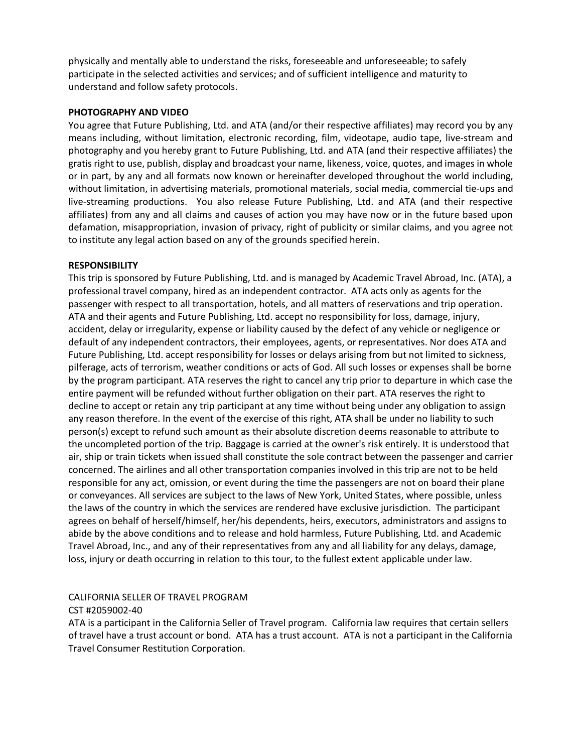physically and mentally able to understand the risks, foreseeable and unforeseeable; to safely participate in the selected activities and services; and of sufficient intelligence and maturity to understand and follow safety protocols.

#### **PHOTOGRAPHY AND VIDEO**

You agree that Future Publishing, Ltd. and ATA (and/or their respective affiliates) may record you by any means including, without limitation, electronic recording, film, videotape, audio tape, live-stream and photography and you hereby grant to Future Publishing, Ltd. and ATA (and their respective affiliates) the gratis right to use, publish, display and broadcast your name, likeness, voice, quotes, and images in whole or in part, by any and all formats now known or hereinafter developed throughout the world including, without limitation, in advertising materials, promotional materials, social media, commercial tie-ups and live-streaming productions. You also release Future Publishing, Ltd. and ATA (and their respective affiliates) from any and all claims and causes of action you may have now or in the future based upon defamation, misappropriation, invasion of privacy, right of publicity or similar claims, and you agree not to institute any legal action based on any of the grounds specified herein.

# **RESPONSIBILITY**

This trip is sponsored by Future Publishing, Ltd. and is managed by Academic Travel Abroad, Inc. (ATA), a professional travel company, hired as an independent contractor. ATA acts only as agents for the passenger with respect to all transportation, hotels, and all matters of reservations and trip operation. ATA and their agents and Future Publishing, Ltd. accept no responsibility for loss, damage, injury, accident, delay or irregularity, expense or liability caused by the defect of any vehicle or negligence or default of any independent contractors, their employees, agents, or representatives. Nor does ATA and Future Publishing, Ltd. accept responsibility for losses or delays arising from but not limited to sickness, pilferage, acts of terrorism, weather conditions or acts of God. All such losses or expenses shall be borne by the program participant. ATA reserves the right to cancel any trip prior to departure in which case the entire payment will be refunded without further obligation on their part. ATA reserves the right to decline to accept or retain any trip participant at any time without being under any obligation to assign any reason therefore. In the event of the exercise of this right, ATA shall be under no liability to such person(s) except to refund such amount as their absolute discretion deems reasonable to attribute to the uncompleted portion of the trip. Baggage is carried at the owner's risk entirely. It is understood that air, ship or train tickets when issued shall constitute the sole contract between the passenger and carrier concerned. The airlines and all other transportation companies involved in this trip are not to be held responsible for any act, omission, or event during the time the passengers are not on board their plane or conveyances. All services are subject to the laws of New York, United States, where possible, unless the laws of the country in which the services are rendered have exclusive jurisdiction. The participant agrees on behalf of herself/himself, her/his dependents, heirs, executors, administrators and assigns to abide by the above conditions and to release and hold harmless, Future Publishing, Ltd. and Academic Travel Abroad, Inc., and any of their representatives from any and all liability for any delays, damage, loss, injury or death occurring in relation to this tour, to the fullest extent applicable under law.

# CALIFORNIA SELLER OF TRAVEL PROGRAM

# CST #2059002-40

ATA is a participant in the California Seller of Travel program. California law requires that certain sellers of travel have a trust account or bond. ATA has a trust account. ATA is not a participant in the California Travel Consumer Restitution Corporation.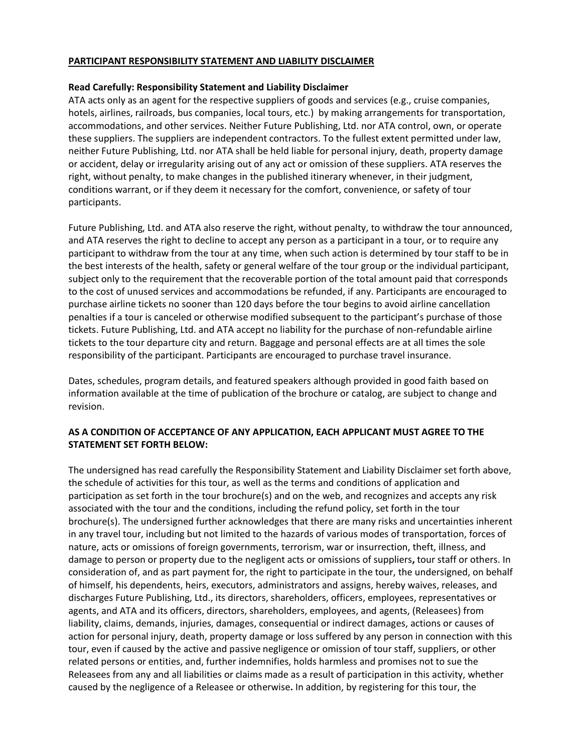#### **PARTICIPANT RESPONSIBILITY STATEMENT AND LIABILITY DISCLAIMER**

#### **Read Carefully: Responsibility Statement and Liability Disclaimer**

ATA acts only as an agent for the respective suppliers of goods and services (e.g., cruise companies, hotels, airlines, railroads, bus companies, local tours, etc.) by making arrangements for transportation, accommodations, and other services. Neither Future Publishing, Ltd. nor ATA control, own, or operate these suppliers. The suppliers are independent contractors. To the fullest extent permitted under law, neither Future Publishing, Ltd. nor ATA shall be held liable for personal injury, death, property damage or accident, delay or irregularity arising out of any act or omission of these suppliers. ATA reserves the right, without penalty, to make changes in the published itinerary whenever, in their judgment, conditions warrant, or if they deem it necessary for the comfort, convenience, or safety of tour participants.

Future Publishing, Ltd. and ATA also reserve the right, without penalty, to withdraw the tour announced, and ATA reserves the right to decline to accept any person as a participant in a tour, or to require any participant to withdraw from the tour at any time, when such action is determined by tour staff to be in the best interests of the health, safety or general welfare of the tour group or the individual participant, subject only to the requirement that the recoverable portion of the total amount paid that corresponds to the cost of unused services and accommodations be refunded, if any. Participants are encouraged to purchase airline tickets no sooner than 120 days before the tour begins to avoid airline cancellation penalties if a tour is canceled or otherwise modified subsequent to the participant's purchase of those tickets. Future Publishing, Ltd. and ATA accept no liability for the purchase of non-refundable airline tickets to the tour departure city and return. Baggage and personal effects are at all times the sole responsibility of the participant. Participants are encouraged to purchase travel insurance.

Dates, schedules, program details, and featured speakers although provided in good faith based on information available at the time of publication of the brochure or catalog, are subject to change and revision.

# **AS A CONDITION OF ACCEPTANCE OF ANY APPLICATION, EACH APPLICANT MUST AGREE TO THE STATEMENT SET FORTH BELOW:**

The undersigned has read carefully the Responsibility Statement and Liability Disclaimer set forth above, the schedule of activities for this tour, as well as the terms and conditions of application and participation as set forth in the tour brochure(s) and on the web, and recognizes and accepts any risk associated with the tour and the conditions, including the refund policy, set forth in the tour brochure(s). The undersigned further acknowledges that there are many risks and uncertainties inherent in any travel tour, including but not limited to the hazards of various modes of transportation, forces of nature, acts or omissions of foreign governments, terrorism, war or insurrection, theft, illness, and damage to person or property due to the negligent acts or omissions of suppliers**,** tour staff or others. In consideration of, and as part payment for, the right to participate in the tour, the undersigned, on behalf of himself, his dependents, heirs, executors, administrators and assigns, hereby waives, releases, and discharges Future Publishing, Ltd., its directors, shareholders, officers, employees, representatives or agents, and ATA and its officers, directors, shareholders, employees, and agents, (Releasees) from liability, claims, demands, injuries, damages, consequential or indirect damages, actions or causes of action for personal injury, death, property damage or loss suffered by any person in connection with this tour, even if caused by the active and passive negligence or omission of tour staff, suppliers, or other related persons or entities, and, further indemnifies, holds harmless and promises not to sue the Releasees from any and all liabilities or claims made as a result of participation in this activity, whether caused by the negligence of a Releasee or otherwise**.** In addition, by registering for this tour, the